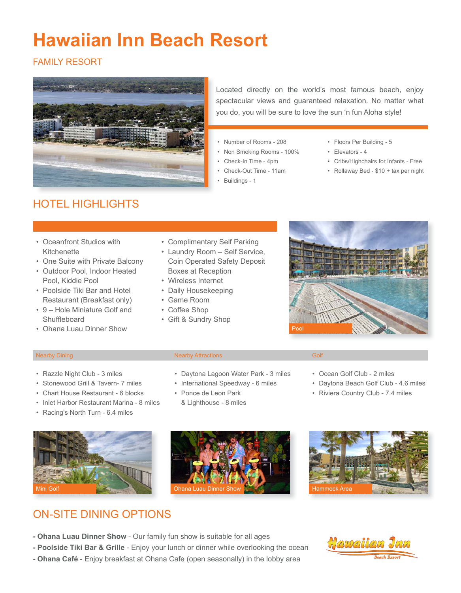# **Hawaiian Inn Beach Resort**

#### FAMILY RESORT



Located directly on the world's most famous beach, enjoy spectacular views and guaranteed relaxation. No matter what you do, you will be sure to love the sun 'n fun Aloha style!

- • Number of Rooms 208
- • Non Smoking Rooms 100%
- • Check-In Time 4pm
- • Check-Out Time 11am
- • Buildings 1
- • Floors Per Building 5
- • Elevators 4
- • Cribs/Highchairs for Infants Free
- • Rollaway Bed \$10 + tax per night

# HOTEL HIGHLIGHTS

- • Oceanfront Studios with **Kitchenette**
- One Suite with Private Balcony
- • Outdoor Pool, Indoor Heated Pool, Kiddie Pool
- • Poolside Tiki Bar and Hotel Restaurant (Breakfast only)
- 9 Hole Miniature Golf and **Shuffleboard**
- Ohana Luau Dinner Show
- • Complimentary Self Parking
- Laundry Room Self Service, Coin Operated Safety Deposit Boxes at Reception
- • Wireless Internet
- • Daily Housekeeping
- • Game Room
- Coffee Shop
- • Gift & Sundry Shop



- Razzle Night Club 3 miles
- • Stonewood Grill & Tavern- 7 miles
- Chart House Restaurant 6 blocks
- Inlet Harbor Restaurant Marina 8 miles
- Racing's North Turn 6.4 miles



- • Daytona Lagoon Water Park 3 miles
- International Speedway 6 miles
- • Ponce de Leon Park
- & Lighthouse 8 miles
- • Ocean Golf Club 2 miles
- • Daytona Beach Golf Club 4.6 miles
- Riviera Country Club 7.4 miles







### ON-SITE DINING OPTIONS

- **Ohana Luau Dinner Show** Our family fun show is suitable for all ages
- **Poolside Tiki Bar & Grille** Enjoy your lunch or dinner while overlooking the ocean
- **Ohana Café** Enjoy breakfast at Ohana Cafe (open seasonally) in the lobby area